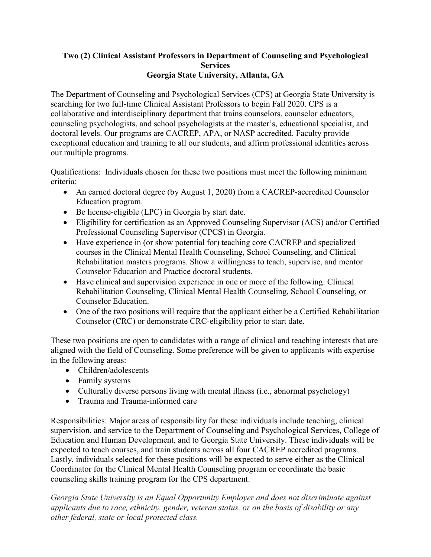## **Two (2) Clinical Assistant Professors in Department of Counseling and Psychological Services Georgia State University, Atlanta, GA**

The Department of Counseling and Psychological Services (CPS) at Georgia State University is searching for two full-time Clinical Assistant Professors to begin Fall 2020. CPS is a collaborative and interdisciplinary department that trains counselors, counselor educators, counseling psychologists, and school psychologists at the master's, educational specialist, and doctoral levels. Our programs are CACREP, APA, or NASP accredited. Faculty provide exceptional education and training to all our students, and affirm professional identities across our multiple programs.

Qualifications: Individuals chosen for these two positions must meet the following minimum criteria:

- An earned doctoral degree (by August 1, 2020) from a CACREP-accredited Counselor Education program.
- Be license-eligible (LPC) in Georgia by start date.
- Eligibility for certification as an Approved Counseling Supervisor (ACS) and/or Certified Professional Counseling Supervisor (CPCS) in Georgia.
- Have experience in (or show potential for) teaching core CACREP and specialized courses in the Clinical Mental Health Counseling, School Counseling, and Clinical Rehabilitation masters programs. Show a willingness to teach, supervise, and mentor Counselor Education and Practice doctoral students.
- Have clinical and supervision experience in one or more of the following: Clinical Rehabilitation Counseling, Clinical Mental Health Counseling, School Counseling, or Counselor Education.
- One of the two positions will require that the applicant either be a Certified Rehabilitation Counselor (CRC) or demonstrate CRC-eligibility prior to start date.

These two positions are open to candidates with a range of clinical and teaching interests that are aligned with the field of Counseling. Some preference will be given to applicants with expertise in the following areas:

- Children/adolescents
- Family systems
- Culturally diverse persons living with mental illness (i.e., abnormal psychology)
- Trauma and Trauma-informed care

Responsibilities: Major areas of responsibility for these individuals include teaching, clinical supervision, and service to the Department of Counseling and Psychological Services, College of Education and Human Development, and to Georgia State University. These individuals will be expected to teach courses, and train students across all four CACREP accredited programs. Lastly, individuals selected for these positions will be expected to serve either as the Clinical Coordinator for the Clinical Mental Health Counseling program or coordinate the basic counseling skills training program for the CPS department.

*Georgia State University is an Equal Opportunity Employer and does not discriminate against applicants due to race, ethnicity, gender, veteran status, or on the basis of disability or any other federal, state or local protected class.*